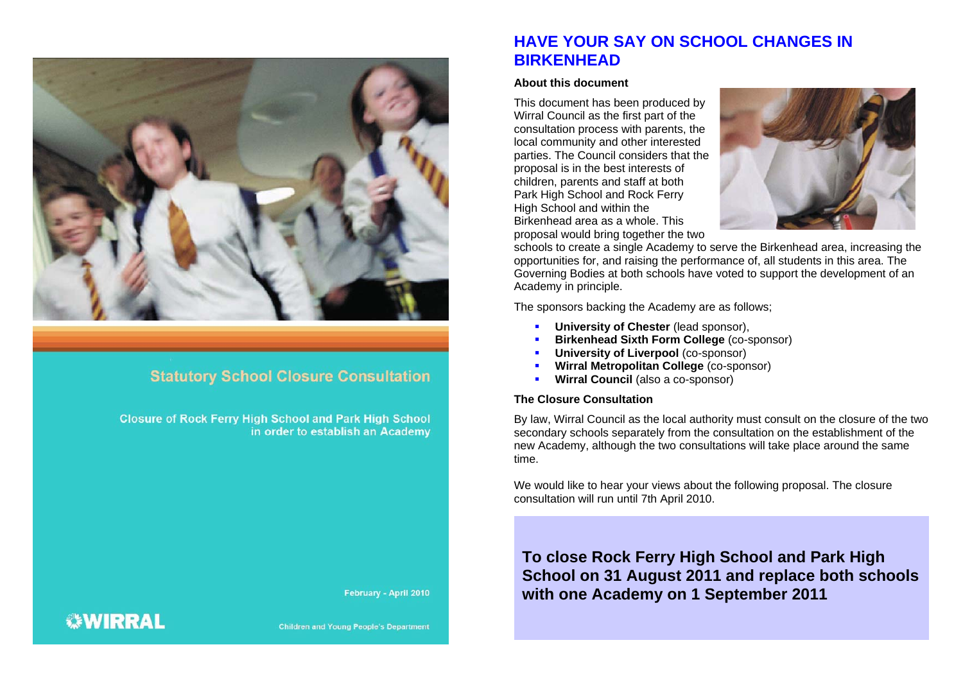

### **Statutory School Closure Consultation**

**Closure of Rock Ferry High School and Park High School** in order to establish an Academy

February - April 2010

### **HAVE YOUR SAY ON SCHOOL CHANGES IN BIRKENHEAD**

#### **About this document**

This document has been produced by Wirral Council as the first part of the consultation process with parents, the local community and other interested parties. The Council considers that the proposal is in the best interests of children, parents and staff at both Park High School and Rock Ferry High School and within the Birkenhead area as a whole. This proposal would bring together the two



schools to create a single Academy to serve the Birkenhead area, increasing the opportunities for, and raising the performance of, all students in this area. The Governing Bodies at both schools have voted to support the development of an Academy in principle.

The sponsors backing the Academy are as follows;

- **University of Chester** (lead sponsor),
- г **Birkenhead Sixth Form College** (co-sponsor)
- г **University of Liverpool (co-sponsor)**
- г **Wirral Metropolitan College** (co-sponsor)
- × **Wirral Council** (also a co-sponsor)

#### **The Closure Consultation**

By law, Wirral Council as the local authority must consult on the closure of the two secondary schools separately from the consultation on the establishment of the new Academy, although the two consultations will take place around the same time.

We would like to hear your views about the following proposal. The closure consultation will run until 7th April 2010.

### **To close Rock Ferry High School and Park High School on 31 August 2011 and replace both schools with one Academy on 1 September 2011**

## *<b>WIRRAL*

**Children and Young People's Department**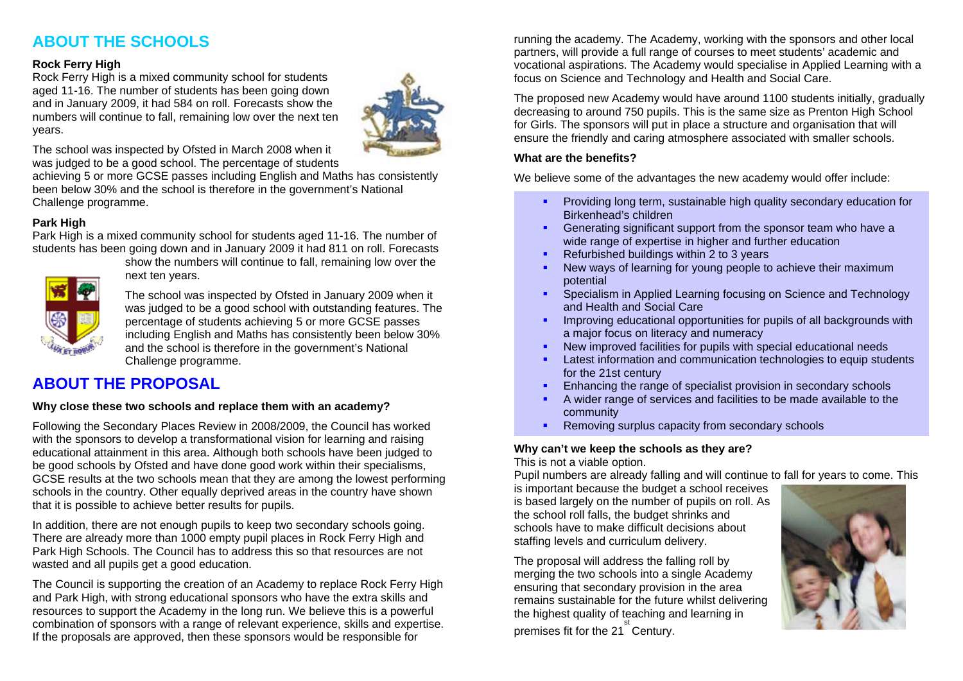### **ABOUT THE SCHOOLS**

#### **Rock Ferry High**

Rock Ferry High is a mixed community school for students aged 11-16. The number of students has been going down and in January 2009, it had 584 on roll. Forecasts show the numbers will continue to fall, remaining low over the next ten years.



The school was inspected by Ofsted in March 2008 when it was judged to be a good school. The percentage of students

achieving 5 or more GCSE passes including English and Maths has consistently been below 30% and the school is therefore in the government's National Challenge programme.

### **Park High**

Park High is a mixed community school for students aged 11-16. The number of students has been going down and in January 2009 it had 811 on roll. Forecasts



show the numbers will continue to fall, remaining low over the next ten years.

The school was inspected by Ofsted in January 2009 when it was judged to be a good school with outstanding features. The percentage of students achieving 5 or more GCSE passes including English and Maths has consistently been below 30% and the school is therefore in the government's National Challenge programme.

### **ABOUT THE PROPOSAL**

#### **Why close these two schools and replace them with an academy?**

Following the Secondary Places Review in 2008/2009, the Council has worked with the sponsors to develop a transformational vision for learning and raising educational attainment in this area. Although both schools have been judged to be good schools by Ofsted and have done good work within their specialisms, GCSE results at the two schools mean that they are among the lowest performing schools in the country. Other equally deprived areas in the country have shown that it is possible to achieve better results for pupils.

In addition, there are not enough pupils to keep two secondary schools going. There are already more than 1000 empty pupil places in Rock Ferry High and Park High Schools. The Council has to address this so that resources are not wasted and all pupils get a good education.

The Council is supporting the creation of an Academy to replace Rock Ferry High and Park High, with strong educational sponsors who have the extra skills and resources to support the Academy in the long run. We believe this is a powerful combination of sponsors with a range of relevant experience, skills and expertise. If the proposals are approved, then these sponsors would be responsible for

running the academy. The Academy, working with the sponsors and other local partners, will provide a full range of courses to meet students' academic and vocational aspirations. The Academy would specialise in Applied Learning with a focus on Science and Technology and Health and Social Care.

The proposed new Academy would have around 1100 students initially, gradually decreasing to around 750 pupils. This is the same size as Prenton High School for Girls. The sponsors will put in place a structure and organisation that will ensure the friendly and caring atmosphere associated with smaller schools.

### **What are the benefits?**

We believe some of the advantages the new academy would offer include:

- **Providing long term, sustainable high quality secondary education for** Birkenhead's children
- $\mathbf{u}$  . Generating significant support from the sponsor team who have a wide range of expertise in higher and further education
- $\blacksquare$ Refurbished buildings within 2 to 3 years
- г New ways of learning for young people to achieve their maximum potential
- **Specialism in Applied Learning focusing on Science and Technology** and Health and Social Care
- г Improving educational opportunities for pupils of all backgrounds with a major focus on literacy and numeracy
- $\blacksquare$ New improved facilities for pupils with special educational needs
- $\blacksquare$  Latest information and communication technologies to equip students for the 21st century
- $\mathbf{H}^{\text{max}}$ Enhancing the range of specialist provision in secondary schools
- г A wider range of services and facilities to be made available to the community
- $\mathbf{u}$  . • Removing surplus capacity from secondary schools

### **Why can't we keep the schools as they are?**

This is not a viable option.

Pupil numbers are already falling and will continue to fall for years to come. This

is important because the budget a school receives is based largely on the number of pupils on roll. As the school roll falls, the budget shrinks and schools have to make difficult decisions about staffing levels and curriculum delivery.

The proposal will address the falling roll by merging the two schools into a single Academy ensuring that secondary provision in the area remains sustainable for the future whilst delivering the highest quality of teaching and learning in premises fit for the 21 Century. st

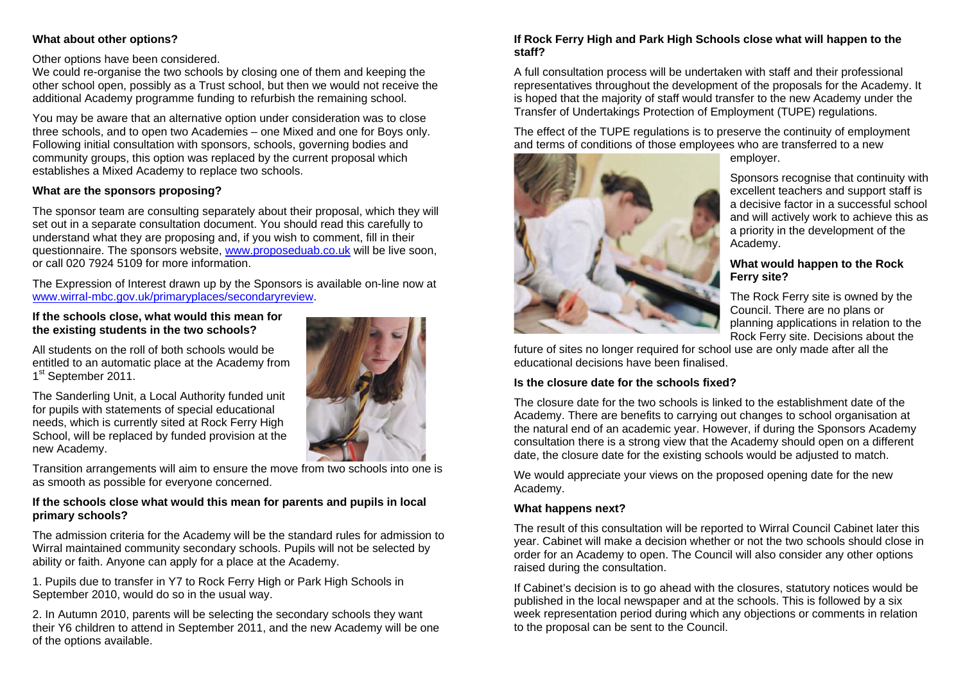### **What about other options?**

Other options have been considered.

We could re-organise the two schools by closing one of them and keeping the other school open, possibly as a Trust school, but then we would not receive the additional Academy programme funding to refurbish the remaining school.

You may be aware that an alternative option under consideration was to close three schools, and to open two Academies – one Mixed and one for Boys only. Following initial consultation with sponsors, schools, governing bodies and community groups, this option was replaced by the current proposal which establishes a Mixed Academy to replace two schools.

#### **What are the sponsors proposing?**

The sponsor team are consulting separately about their proposal, which they will set out in a separate consultation document. You should read this carefully to understand what they are proposing and, if you wish to comment, fill in their questionnaire. The sponsors website, www.proposeduab.co.uk will be live soon, or call 020 7924 5109 for more information.

The Expression of Interest drawn up by the Sponsors is available on-line now at www.wirral-mbc.gov.uk/primaryplaces/secondaryreview.

#### **If the schools close, what would this mean for the existing students in the two schools?**

All students on the roll of both schools would be entitled to an automatic place at the Academy from 1<sup>st</sup> September 2011.

The Sanderling Unit, a Local Authority funded unit for pupils with statements of special educational needs, which is currently sited at Rock Ferry High School, will be replaced by funded provision at the new Academy.



Transition arrangements will aim to ensure the move from two schools into one is as smooth as possible for everyone concerned.

### **If the schools close what would this mean for parents and pupils in local primary schools?**

The admission criteria for the Academy will be the standard rules for admission to Wirral maintained community secondary schools. Pupils will not be selected by ability or faith. Anyone can apply for a place at the Academy.

1. Pupils due to transfer in Y7 to Rock Ferry High or Park High Schools in September 2010, would do so in the usual way.

2. In Autumn 2010, parents will be selecting the secondary schools they want their Y6 children to attend in September 2011, and the new Academy will be one of the options available.

### **If Rock Ferry High and Park High Schools close what will happen to the staff?**

A full consultation process will be undertaken with staff and their professional representatives throughout the development of the proposals for the Academy. It is hoped that the majority of staff would transfer to the new Academy under the Transfer of Undertakings Protection of Employment (TUPE) regulations.

The effect of the TUPE regulations is to preserve the continuity of employment and terms of conditions of those employees who are transferred to a new



employer.

Sponsors recognise that continuity with excellent teachers and support staff is a decisive factor in a successful school and will actively work to achieve this as a priority in the development of the Academy.

#### **What would happen to the Rock Ferry site?**

The Rock Ferry site is owned by the Council. There are no plans or planning applications in relation to the Rock Ferry site. Decisions about the

future of sites no longer required for school use are only made after all the educational decisions have been finalised.

### **Is the closure date for the schools fixed?**

The closure date for the two schools is linked to the establishment date of the Academy. There are benefits to carrying out changes to school organisation at the natural end of an academic year. However, if during the Sponsors Academy consultation there is a strong view that the Academy should open on a different date, the closure date for the existing schools would be adjusted to match.

We would appreciate your views on the proposed opening date for the new Academy.

### **What happens next?**

The result of this consultation will be reported to Wirral Council Cabinet later this year. Cabinet will make a decision whether or not the two schools should close in order for an Academy to open. The Council will also consider any other options raised during the consultation.

If Cabinet's decision is to go ahead with the closures, statutory notices would be published in the local newspaper and at the schools. This is followed by a six week representation period during which any objections or comments in relation to the proposal can be sent to the Council.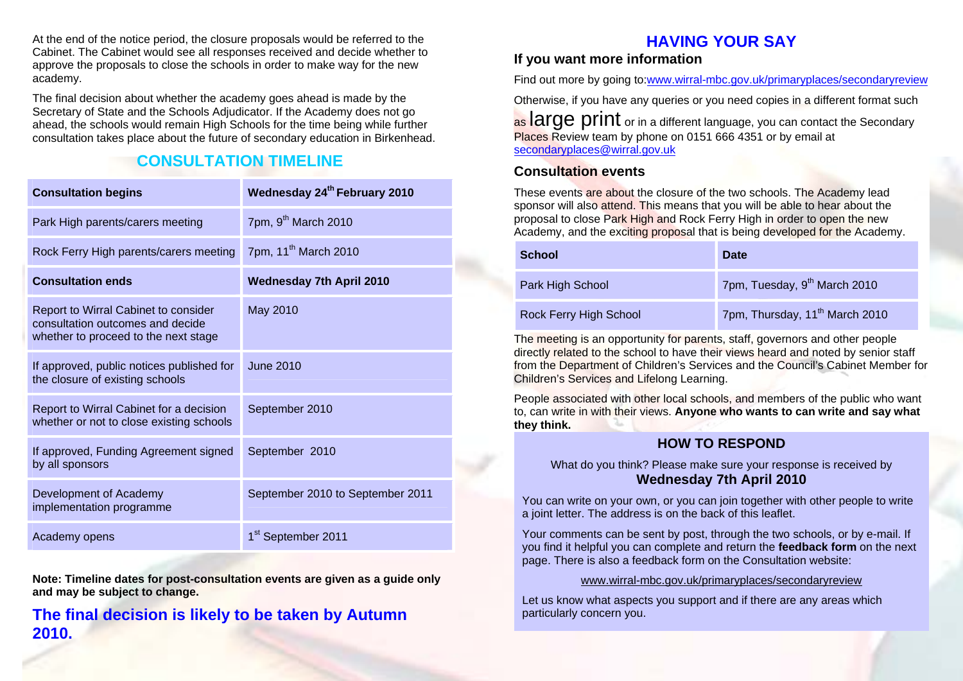At the end of the notice period, the closure proposals would be referred to the Cabinet. The Cabinet would see all responses received and decide whether to approve the proposals to close the schools in order to make way for the new academy.

The final decision about whether the academy goes ahead is made by the Secretary of State and the Schools Adjudicator. If the Academy does not go ahead, the schools would remain High Schools for the time being while further consultation takes place about the future of secondary education in Birkenhead.

### **CONSULTATION TIMELINE**

| <b>Consultation begins</b>                                                                                       | Wednesday 24th February 2010     |
|------------------------------------------------------------------------------------------------------------------|----------------------------------|
| Park High parents/carers meeting                                                                                 | 7pm, 9 <sup>th</sup> March 2010  |
| Rock Ferry High parents/carers meeting                                                                           | 7pm, 11 <sup>th</sup> March 2010 |
| <b>Consultation ends</b>                                                                                         | <b>Wednesday 7th April 2010</b>  |
| Report to Wirral Cabinet to consider<br>consultation outcomes and decide<br>whether to proceed to the next stage | May 2010                         |
| If approved, public notices published for<br>the closure of existing schools                                     | June 2010                        |
| Report to Wirral Cabinet for a decision<br>whether or not to close existing schools                              | September 2010                   |
| If approved, Funding Agreement signed<br>by all sponsors                                                         | September 2010                   |
| Development of Academy<br>implementation programme                                                               | September 2010 to September 2011 |
| Academy opens                                                                                                    | 1 <sup>st</sup> September 2011   |

**Note: Timeline dates for post-consultation events are given as a guide only and may be subject to change.** 

### **The final decision is likely to be taken by Autumn 2010.**

### **HAVING YOUR SAY**

### **If you want more information**

Find out more by going to:www.wirral-mbc.gov.uk/primaryplaces/secondaryreview

Otherwise, if you have any queries or you need copies in a different format such

as **and all arge print** or in a different language, you can contact the Secondary Places Review team by phone on 0151 666 4351 or by email at secondaryplaces@wirral.gov.uk

### **Consultation events**

These events are about the closure of the two schools. The Academy lead sponsor will also attend. This means that you will be able to hear about the proposal to close Park High and Rock Ferry High in order to open the new Academy, and the exciting proposal that is being developed for the Academy.

| School                 | Date                                       |
|------------------------|--------------------------------------------|
| Park High School       | 7pm, Tuesday, 9 <sup>th</sup> March 2010   |
| Rock Ferry High School | 7pm, Thursday, 11 <sup>th</sup> March 2010 |

The meeting is an opportunity for parents, staff, governors and other people directly related to the school to have their views heard and noted by senior staff from the Department of Children's Services and the Council's Cabinet Member for Children's Services and Lifelong Learning.

People associated with other local schools, and members of the public who want to, can write in with their views. **Anyone who wants to can write and say what they think.**

### **HOW TO RESPOND**

What do you think? Please make sure your response is received by **Wednesday 7th April 2010** 

You can write on your own, or you can join together with other people to write a joint letter. The address is on the back of this leaflet.

Your comments can be sent by post, through the two schools, or by e-mail. If you find it helpful you can complete and return the **feedback form** on the next page. There is also a feedback form on the Consultation website:

#### www.wirral-mbc.gov.uk/primaryplaces/secondaryreview

Let us know what aspects you support and if there are any areas which particularly concern you.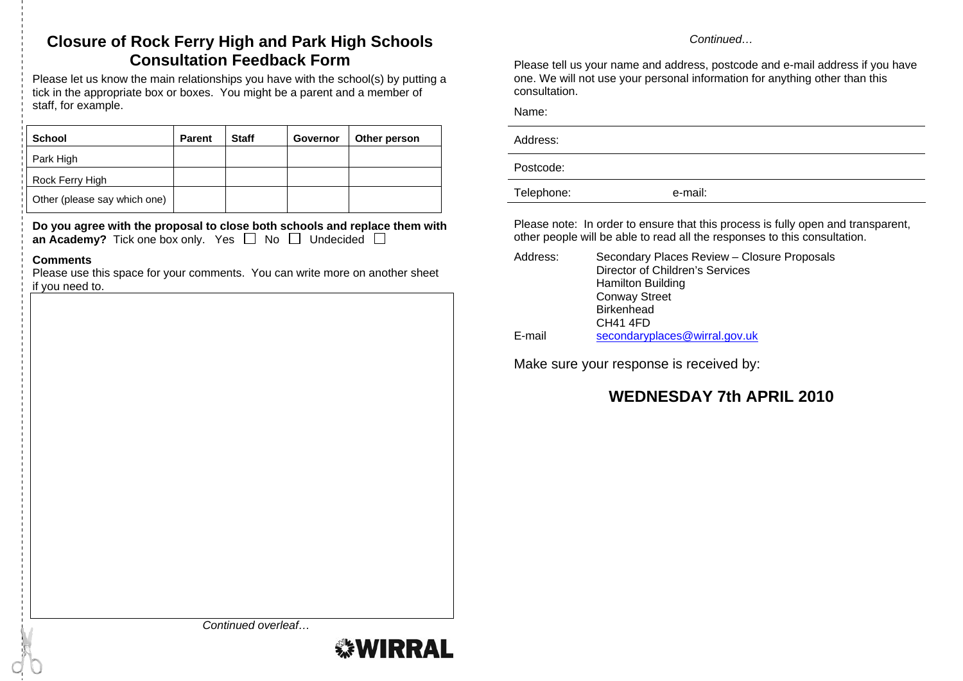### **Closure of Rock Ferry High and Park High Schools Consultation Feedback Form**

Please let us know the main relationships you have with the school(s) by putting a tick in the appropriate box or boxes. You might be a parent and a member of staff, for example.

| <b>School</b>                | <b>Parent</b> | <b>Staff</b> | Governor | Other person |
|------------------------------|---------------|--------------|----------|--------------|
| Park High                    |               |              |          |              |
| Rock Ferry High              |               |              |          |              |
| Other (please say which one) |               |              |          |              |

**Do you agree with the proposal to close both schools and replace them with an Academy?** Tick one box only. Yes  $\Box$  No  $\Box$  Undecided  $\Box$ 

#### **Comments**

Please use this space for your comments. You can write more on another sheet if you need to.

*Continued…* 

Please tell us your name and address, postcode and e-mail address if you have one. We will not use your personal information for anything other than this consultation.

Name:

| Address:   |         |
|------------|---------|
| Postcode:  |         |
| Telephone: | e-mail: |

Please note: In order to ensure that this process is fully open and transparent, other people will be able to read all the responses to this consultation.

| Address: | Secondary Places Review - Closure Proposals |
|----------|---------------------------------------------|
|          | Director of Children's Services             |
|          | <b>Hamilton Building</b>                    |
|          | <b>Conway Street</b>                        |
|          | <b>Birkenhead</b>                           |
|          | CH41 4FD                                    |
| E-mail   | secondaryplaces@wirral.gov.uk               |

Make sure your response is received by:

### **WEDNESDAY 7th APRIL 2010**

*Continued overleaf…* 

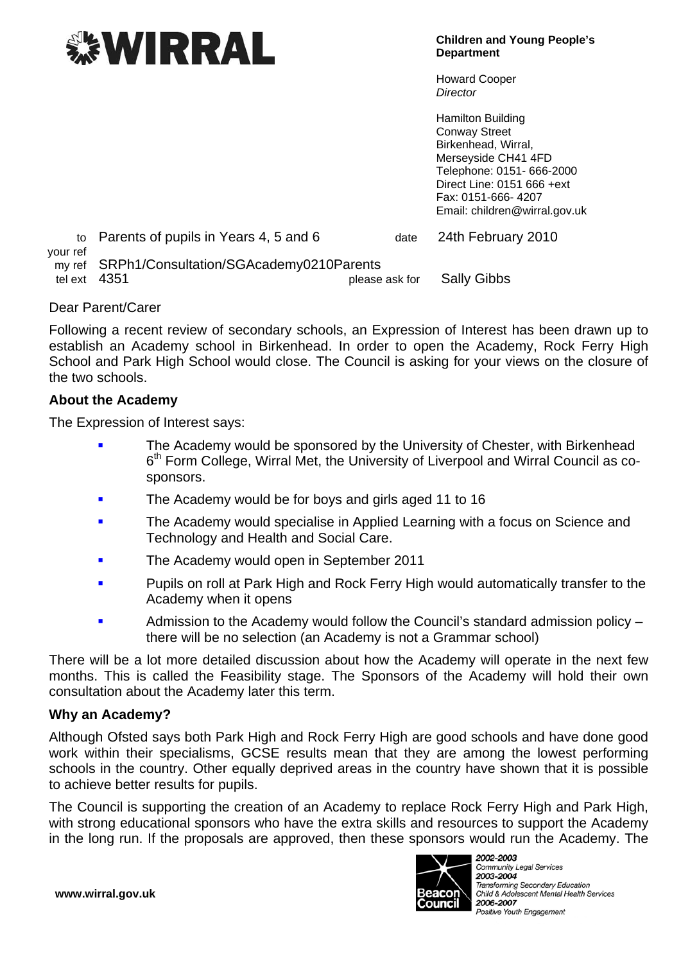

**Children and Young People's Department** 

Howard Cooper *Director* 

Hamilton Building Conway Street Birkenhead, Wirral, Merseyside CH41 4FD Telephone: 0151- 666-2000 Direct Line: 0151 666 +ext Fax: 0151-666- 4207 Email: children@wirral.gov.uk

to Parents of pupils in Years 4, 5 and 6 date 24th February 2010 your ref my ref SRPh1/Consultation/SGAcademy0210Parents tel ext 4351 **please ask for** Sally Gibbs

### Dear Parent/Carer

Following a recent review of secondary schools, an Expression of Interest has been drawn up to establish an Academy school in Birkenhead. In order to open the Academy, Rock Ferry High School and Park High School would close. The Council is asking for your views on the closure of the two schools.

### **About the Academy**

The Expression of Interest says:

- The Academy would be sponsored by the University of Chester, with Birkenhead 6<sup>th</sup> Form College, Wirral Met, the University of Liverpool and Wirral Council as cosponsors.
- The Academy would be for boys and girls aged 11 to 16
- **The Academy would specialise in Applied Learning with a focus on Science and** Technology and Health and Social Care.
- The Academy would open in September 2011
- Pupils on roll at Park High and Rock Ferry High would automatically transfer to the Academy when it opens
- Admission to the Academy would follow the Council's standard admission policy there will be no selection (an Academy is not a Grammar school)

There will be a lot more detailed discussion about how the Academy will operate in the next few months. This is called the Feasibility stage. The Sponsors of the Academy will hold their own consultation about the Academy later this term.

### **Why an Academy?**

Although Ofsted says both Park High and Rock Ferry High are good schools and have done good work within their specialisms, GCSE results mean that they are among the lowest performing schools in the country. Other equally deprived areas in the country have shown that it is possible to achieve better results for pupils.

The Council is supporting the creation of an Academy to replace Rock Ferry High and Park High, with strong educational sponsors who have the extra skills and resources to support the Academy in the long run. If the proposals are approved, then these sponsors would run the Academy. The



**Community Legal Services** 2003-2004 Transforming Secondary Education Child & Adolescent Mental Health Services 2006-2007 Positive Youth Engagement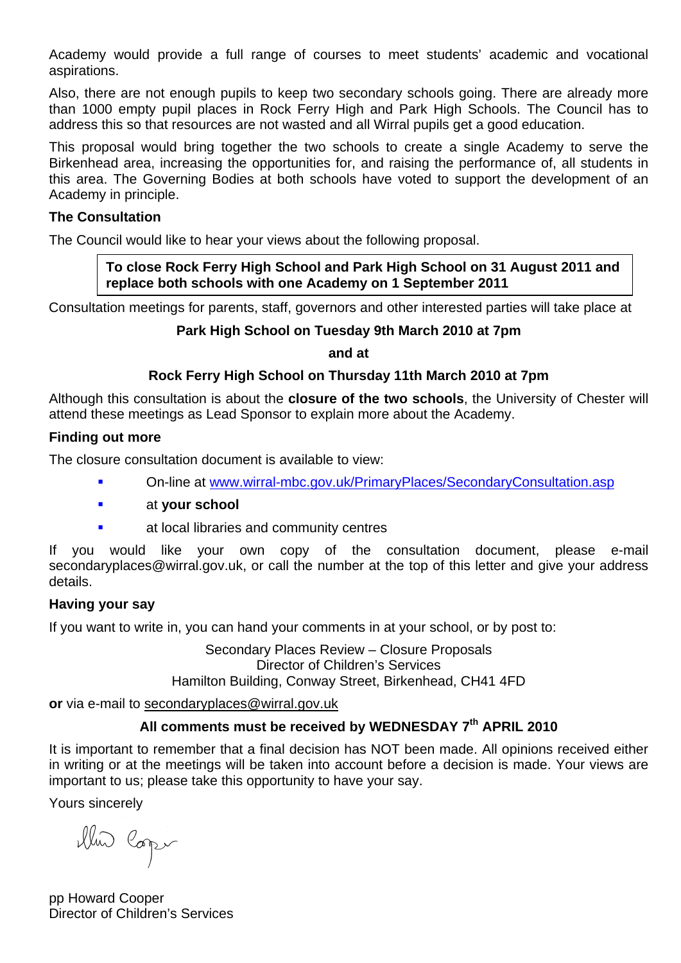Academy would provide a full range of courses to meet students' academic and vocational aspirations.

Also, there are not enough pupils to keep two secondary schools going. There are already more than 1000 empty pupil places in Rock Ferry High and Park High Schools. The Council has to address this so that resources are not wasted and all Wirral pupils get a good education.

This proposal would bring together the two schools to create a single Academy to serve the Birkenhead area, increasing the opportunities for, and raising the performance of, all students in this area. The Governing Bodies at both schools have voted to support the development of an Academy in principle.

### **The Consultation**

The Council would like to hear your views about the following proposal.

**To close Rock Ferry High School and Park High School on 31 August 2011 and replace both schools with one Academy on 1 September 2011** 

Consultation meetings for parents, staff, governors and other interested parties will take place at

### **Park High School on Tuesday 9th March 2010 at 7pm**

**and at** 

### **Rock Ferry High School on Thursday 11th March 2010 at 7pm**

Although this consultation is about the **closure of the two schools**, the University of Chester will attend these meetings as Lead Sponsor to explain more about the Academy.

### **Finding out more**

The closure consultation document is available to view:

- On-line at [www.wirral-mbc.gov.uk/PrimaryPlaces/SecondaryConsultation.asp](http://www.wirral-mbc.gov.uk/PrimaryPlaces/SecondaryConsultation.asp)
- at **your school**
- at local libraries and community centres

If you would like your own copy of the consultation document, please e-mail secondaryplaces@wirral.gov.uk, or call the number at the top of this letter and give your address details.

### **Having your say**

If you want to write in, you can hand your comments in at your school, or by post to:

Secondary Places Review – Closure Proposals Director of Children's Services Hamilton Building, Conway Street, Birkenhead, CH41 4FD

**or** via e-mail to secondaryplaces@wirral.gov.uk

### All comments must be received by WEDNESDAY 7<sup>th</sup> APRIL 2010

It is important to remember that a final decision has NOT been made. All opinions received either in writing or at the meetings will be taken into account before a decision is made. Your views are important to us; please take this opportunity to have your say.

Yours sincerely

illus Coper

pp Howard Cooper Director of Children's Services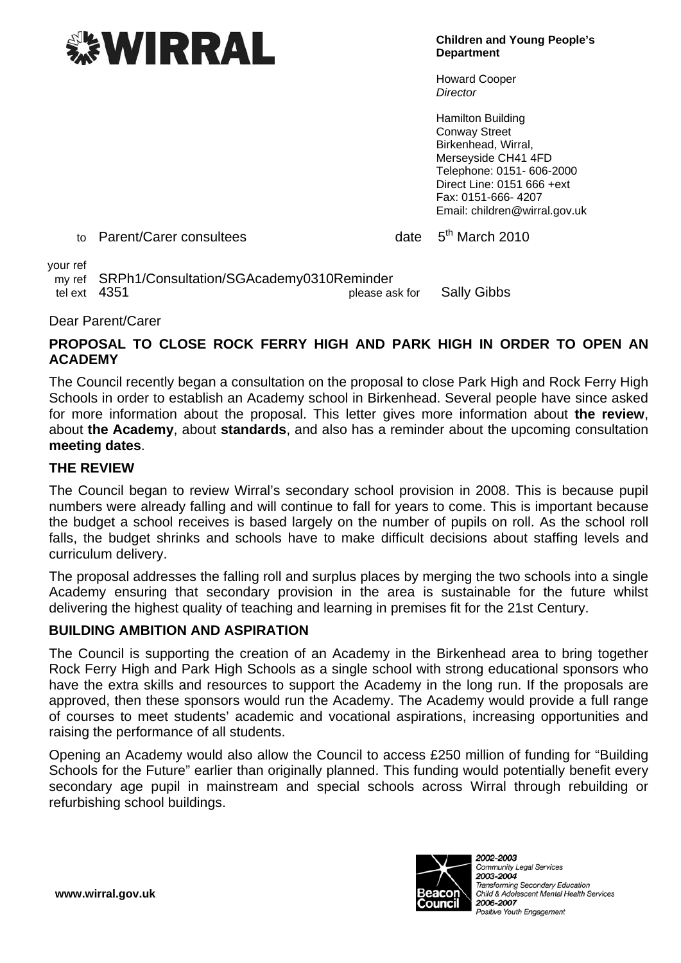# *EWIRRAL*

**Children and Young People's Department** 

Howard Cooper *Director* 

Hamilton Building Conway Street Birkenhead, Wirral, Merseyside CH41 4FD Telephone: 0151- 606-2000 Direct Line: 0151 666 +ext Fax: 0151-666- 4207 Email: children@wirral.gov.uk

to Parent/Carer consultees date 5<sup>th</sup> March 2010

your ref

 my ref SRPh1/Consultation/SGAcademy0310Reminder tel ext 4351 please ask for Sally Gibbs

Dear Parent/Carer

### **PROPOSAL TO CLOSE ROCK FERRY HIGH AND PARK HIGH IN ORDER TO OPEN AN ACADEMY**

The Council recently began a consultation on the proposal to close Park High and Rock Ferry High Schools in order to establish an Academy school in Birkenhead. Several people have since asked for more information about the proposal. This letter gives more information about **the review**, about **the Academy**, about **standards**, and also has a reminder about the upcoming consultation **meeting dates**.

### **THE REVIEW**

The Council began to review Wirral's secondary school provision in 2008. This is because pupil numbers were already falling and will continue to fall for years to come. This is important because the budget a school receives is based largely on the number of pupils on roll. As the school roll falls, the budget shrinks and schools have to make difficult decisions about staffing levels and curriculum delivery.

The proposal addresses the falling roll and surplus places by merging the two schools into a single Academy ensuring that secondary provision in the area is sustainable for the future whilst delivering the highest quality of teaching and learning in premises fit for the 21st Century.

### **BUILDING AMBITION AND ASPIRATION**

The Council is supporting the creation of an Academy in the Birkenhead area to bring together Rock Ferry High and Park High Schools as a single school with strong educational sponsors who have the extra skills and resources to support the Academy in the long run. If the proposals are approved, then these sponsors would run the Academy. The Academy would provide a full range of courses to meet students' academic and vocational aspirations, increasing opportunities and raising the performance of all students.

Opening an Academy would also allow the Council to access £250 million of funding for "Building Schools for the Future" earlier than originally planned. This funding would potentially benefit every secondary age pupil in mainstream and special schools across Wirral through rebuilding or refurbishing school buildings.



**Community Legal Services** 2003-2004 Transforming Secondary Education Child & Adolescent Mental Health Services 2006-2007 Positive Youth Engagement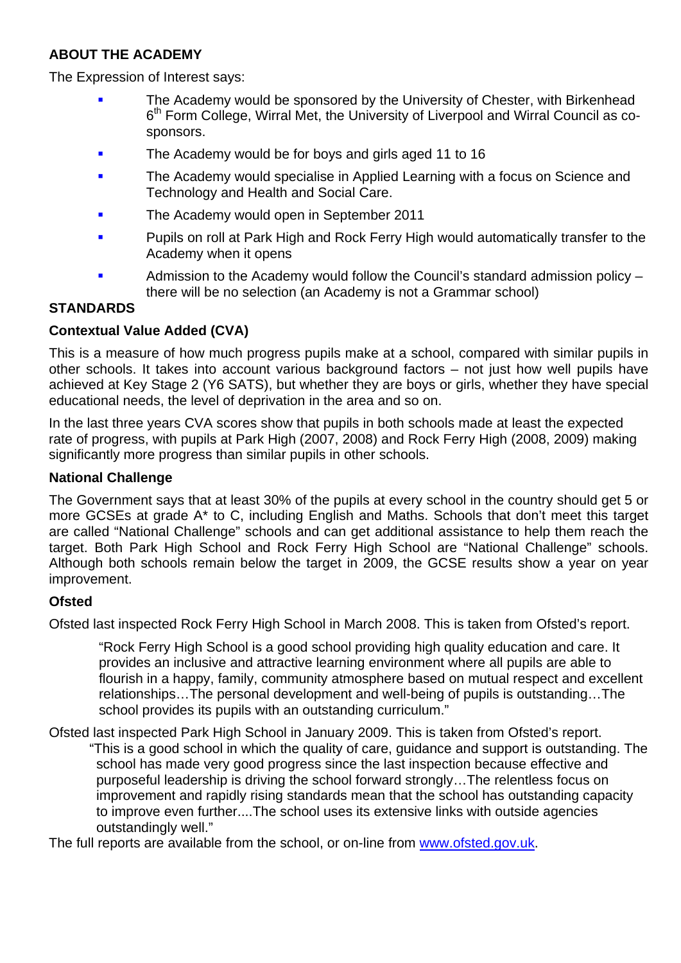### **ABOUT THE ACADEMY**

The Expression of Interest says:

- The Academy would be sponsored by the University of Chester, with Birkenhead 6<sup>th</sup> Form College, Wirral Met, the University of Liverpool and Wirral Council as cosponsors.
- The Academy would be for boys and girls aged 11 to 16
- The Academy would specialise in Applied Learning with a focus on Science and Technology and Health and Social Care.
- The Academy would open in September 2011
- Pupils on roll at Park High and Rock Ferry High would automatically transfer to the Academy when it opens
- Admission to the Academy would follow the Council's standard admission policy there will be no selection (an Academy is not a Grammar school)

### **STANDARDS**

### **Contextual Value Added (CVA)**

This is a measure of how much progress pupils make at a school, compared with similar pupils in other schools. It takes into account various background factors – not just how well pupils have achieved at Key Stage 2 (Y6 SATS), but whether they are boys or girls, whether they have special educational needs, the level of deprivation in the area and so on.

In the last three years CVA scores show that pupils in both schools made at least the expected rate of progress, with pupils at Park High (2007, 2008) and Rock Ferry High (2008, 2009) making significantly more progress than similar pupils in other schools.

### **National Challenge**

The Government says that at least 30% of the pupils at every school in the country should get 5 or more GCSEs at grade A\* to C, including English and Maths. Schools that don't meet this target are called "National Challenge" schools and can get additional assistance to help them reach the target. Both Park High School and Rock Ferry High School are "National Challenge" schools. Although both schools remain below the target in 2009, the GCSE results show a year on year improvement.

### **Ofsted**

Ofsted last inspected Rock Ferry High School in March 2008. This is taken from Ofsted's report.

"Rock Ferry High School is a good school providing high quality education and care. It provides an inclusive and attractive learning environment where all pupils are able to flourish in a happy, family, community atmosphere based on mutual respect and excellent relationships…The personal development and well-being of pupils is outstanding…The school provides its pupils with an outstanding curriculum."

Ofsted last inspected Park High School in January 2009. This is taken from Ofsted's report. "This is a good school in which the quality of care, guidance and support is outstanding. The school has made very good progress since the last inspection because effective and purposeful leadership is driving the school forward strongly…The relentless focus on improvement and rapidly rising standards mean that the school has outstanding capacity to improve even further....The school uses its extensive links with outside agencies outstandingly well."

The full reports are available from the school, or on-line from www.ofsted.gov.uk.